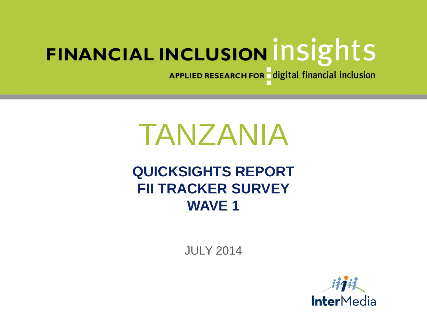APPLIED RESEARCH FOR digital financial inclusion

# TANZANIA

## **QUICKSIGHTS REPORT FII TRACKER SURVEY WAVE 1**

JULY 2014

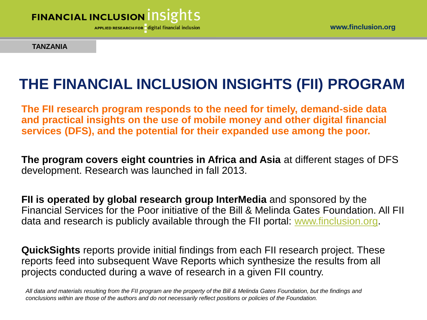

**TANZANIA**

## **THE FINANCIAL INCLUSION INSIGHTS (FII) PROGRAM**

**The FII research program responds to the need for timely, demand-side data and practical insights on the use of mobile money and other digital financial services (DFS), and the potential for their expanded use among the poor.** 

**The program covers eight countries in Africa and Asia** at different stages of DFS development. Research was launched in fall 2013.

**FII is operated by global research group InterMedia** and sponsored by the Financial Services for the Poor initiative of the Bill & Melinda Gates Foundation. All FII data and research is publicly available through the FII portal: [www.finclusion.org](http://www.finclusion.org/).

**QuickSights** reports provide initial findings from each FII research project. These reports feed into subsequent Wave Reports which synthesize the results from all projects conducted during a wave of research in a given FII country.

*All data and materials resulting from the FII program are the property of the Bill & Melinda Gates Foundation, but the findings and conclusions within are those of the authors and do not necessarily reflect positions or policies of the Foundation.*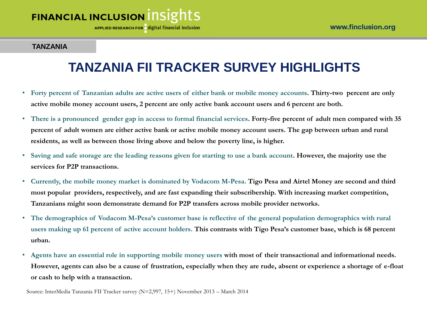APPLIED RESEARCH FOR digital financial inclusion

#### **TANZANIA**

## **TANZANIA FII TRACKER SURVEY HIGHLIGHTS**

- **Forty percent of Tanzanian adults are active users of either bank or mobile money accounts. Thirty-two percent are only active mobile money account users, 2 percent are only active bank account users and 6 percent are both.**
- **There is a pronounced gender gap in access to formal financial services. Forty-five percent of adult men compared with 35 percent of adult women are either active bank or active mobile money account users. The gap between urban and rural residents, as well as between those living above and below the poverty line, is higher.**
- **Saving and safe storage are the leading reasons given for starting to use a bank account. However, the majority use the services for P2P transactions.**
- **Currently, the mobile money market is dominated by Vodacom M-Pesa. Tigo Pesa and Airtel Money are second and third most popular providers, respectively, and are fast expanding their subscribership. With increasing market competition, Tanzanians might soon demonstrate demand for P2P transfers across mobile provider networks.**
- **The demographics of Vodacom M-Pesa's customer base is reflective of the general population demographics with rural users making up 61 percent of active account holders. This contrasts with Tigo Pesa's customer base, which is 68 percent urban.**
- **Agents have an essential role in supporting mobile money users with most of their transactional and informational needs. However, agents can also be a cause of frustration, especially when they are rude, absent or experience a shortage of e-float or cash to help with a transaction.**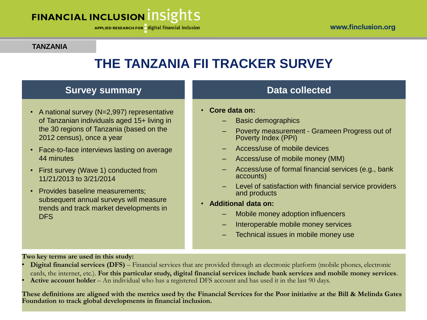APPLIED RESEARCH FOR digital financial inclusion

#### **TANZANIA**

## **THE TANZANIA FII TRACKER SURVEY**

### **Survey summary**

- A national survey (N=2,997) representative of Tanzanian individuals aged 15+ living in the 30 regions of Tanzania (based on the 2012 census), once a year
- Face-to-face interviews lasting on average 44 minutes
- First survey (Wave 1) conducted from 11/21/2013 to 3/21/2014
- Provides baseline measurements: subsequent annual surveys will measure trends and track market developments in **DFS**

### **Data collected**

- **Core data on:**
	- Basic demographics
	- Poverty measurement Grameen Progress out of Poverty Index (PPI)
	- Access/use of mobile devices
	- Access/use of mobile money (MM)
	- Access/use of formal financial services (e.g., bank accounts)
	- Level of satisfaction with financial service providers and products
- **Additional data on:**
	- Mobile money adoption influencers
	- Interoperable mobile money services
	- Technical issues in mobile money use

**Two key terms are used in this study:**

- **Digital financial services (DFS)** Financial services that are provided through an electronic platform (mobile phones, electronic cards, the internet, etc.). **For this particular study, digital financial services include bank services and mobile money services**.
- **Active account holder** An individual who has a registered DFS account and has used it in the last 90 days.

**These definitions are aligned with the metrics used by the Financial Services for the Poor initiative at the Bill & Melinda Gates Foundation to track global developments in financial inclusion.**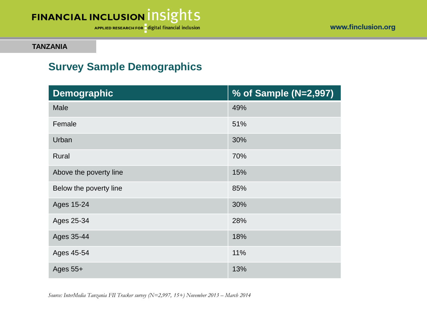

www.finclusion.org

**TANZANIA**

## **Survey Sample Demographics**

| <b>Demographic</b>     | % of Sample (N=2,997) |
|------------------------|-----------------------|
| Male                   | 49%                   |
| Female                 | 51%                   |
| Urban                  | 30%                   |
| Rural                  | 70%                   |
| Above the poverty line | 15%                   |
| Below the poverty line | 85%                   |
| Ages 15-24             | 30%                   |
| Ages 25-34             | 28%                   |
| Ages 35-44             | 18%                   |
| Ages 45-54             | 11%                   |
| Ages $55+$             | 13%                   |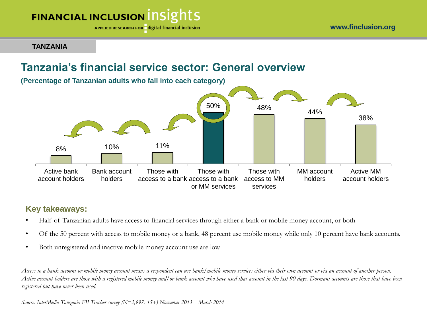APPLIED RESEARCH FOR digital financial inclusion

**TANZANIA**

## **Tanzania's financial service sector: General overview**



### **Key takeaways:**

- Half of Tanzanian adults have access to financial services through either a bank or mobile money account, or both
- Of the 50 percent with access to mobile money or a bank, 48 percent use mobile money while only 10 percent have bank accounts.
- Both unregistered and inactive mobile money account use are low.

*Access to a bank account or mobile money account means a respondent can use bank/mobile money services either via their own account or via an account of another person. Active account holders are those with a registered mobile money and/or bank account who have used that account in the last 90 days. Dormant accounts are those that have been registered but have never been used.*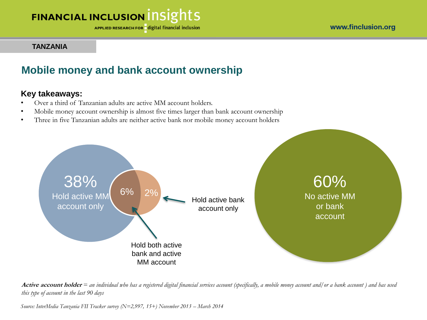APPLIED RESEARCH FOR digital financial inclusion

#### www.finclusion.org

#### **TANZANIA**

### **Mobile money and bank account ownership**

### **Key takeaways:**

- Over a third of Tanzanian adults are active MM account holders.
- Mobile money account ownership is almost five times larger than bank account ownership
- Three in five Tanzanian adults are neither active bank nor mobile money account holders



**Active account holder** *= an individual who has a registered digital financial services account (specifically, a mobile money account and/or a bank account ) and has used this type of account in the last 90 days*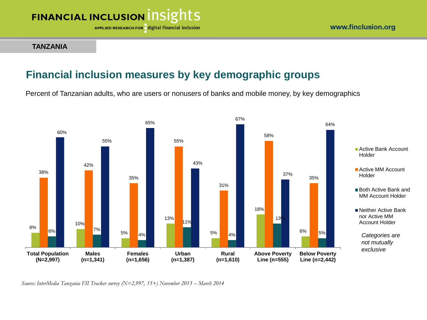APPLIED RESEARCH FOR digital financial inclusion

#### **TANZANIA**

### www.finclusion.org

### **Financial inclusion measures by key demographic groups**

Percent of Tanzanian adults, who are users or nonusers of banks and mobile money, by key demographics

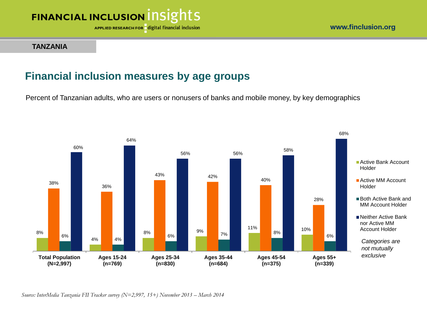

APPLIED RESEARCH FOR digital financial inclusion

#### **TANZANIA**

### **Financial inclusion measures by age groups**

Percent of Tanzanian adults, who are users or nonusers of banks and mobile money, by key demographics

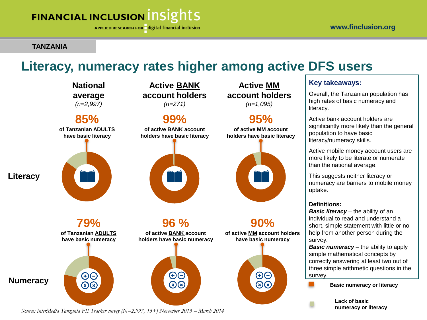APPLIED RESEARCH FOR digital financial inclusion

#### **TANZANIA**

## **Literacy, numeracy rates higher among active DFS users**

**National average**  *(n=2,997)*





**Literacy**



**Active BANK account holders** 

*(n=271)* **99%**

**of active BANK account holders have basic literacy**



**96 % of active BANK account holders have basic numeracy**

AG

**Active MM account holders**  *(n=1,095)*

### **95%**

**of active MM account holders have basic literacy**



**90% of active MM account holders** 



### **Key takeaways:**

Overall, the Tanzanian population has high rates of basic numeracy and literacy.

Active bank account holders are significantly more likely than the general population to have basic literacy/numeracy skills.

Active mobile money account users are more likely to be literate or numerate than the national average.

This suggests neither literacy or numeracy are barriers to mobile money uptake.

#### **Definitions:**

*Basic literacy* – the ability of an individual to read and understand a short, simple statement with little or no help from another person during the survey.

*Basic numeracy – the ability to apply* simple mathematical concepts by correctly answering at least two out of three simple arithmetic questions in the survey.

**Basic numeracy or literacy**

**Lack of basic numeracy or literacy**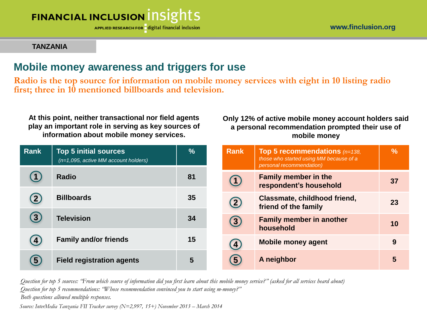APPLIED RESEARCH FOR digital financial inclusion

#### **TANZANIA**

### **Mobile money awareness and triggers for use**

**Radio is the top source for information on mobile money services with eight in 10 listing radio first; three in 10 mentioned billboards and television.**

**At this point, neither transactional nor field agents play an important role in serving as key sources of information about mobile money services.**

### **Only 12% of active mobile money account holders said a personal recommendation prompted their use of mobile money**

| Rank           | <b>Top 5 initial sources</b><br>$(n=1,095, active MM account holds)$ | $\frac{0}{0}$ | Rank              | Top 5 recommendations $(n=138)$<br>those who started using MM because of a<br>personal recommendation) | $\frac{9}{6}$ |
|----------------|----------------------------------------------------------------------|---------------|-------------------|--------------------------------------------------------------------------------------------------------|---------------|
|                | <b>Radio</b>                                                         | 81            | $\left(1\right)$  | <b>Family member in the</b><br>respondent's household                                                  | 37            |
| $\mathbf{2}$   | <b>Billboards</b>                                                    | 35            | $\left( 2\right)$ | Classmate, childhood friend,<br>friend of the family                                                   | 23            |
| $\mathbf{3}$   | <b>Television</b>                                                    | 34            | $\left( 3\right)$ | <b>Family member in another</b><br>household                                                           | 10            |
| $\overline{4}$ | <b>Family and/or friends</b>                                         | 15            | $\left( 4\right)$ | <b>Mobile money agent</b>                                                                              | 9             |
| $\sqrt{5}$     | <b>Field registration agents</b>                                     | 5             | $\left(5\right)$  | A neighbor                                                                                             | 5             |

*Question for top 5 sources: "From which source of information did you first learn about this mobile money service?" (asked for all services heard about) Question for top 5 recommendations: "Whose recommendation convinced you to start using m-money?" Both questions allowed multiple responses.*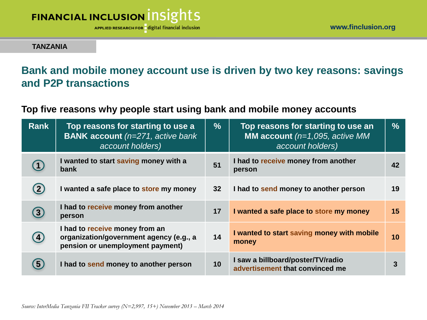

#### **TANZANIA**

## **Bank and mobile money account use is driven by two key reasons: savings and P2P transactions**

### **Top five reasons why people start using bank and mobile money accounts**

| <b>Rank</b>       | Top reasons for starting to use a<br><b>BANK account</b> (n=271, active bank)<br>account holders)             | $\frac{9}{6}$   | Top reasons for starting to use an<br><b>MM account</b> ( $n=1,095$ , active MM<br>account holders) | $\frac{9}{6}$  |
|-------------------|---------------------------------------------------------------------------------------------------------------|-----------------|-----------------------------------------------------------------------------------------------------|----------------|
|                   | I wanted to start saving money with a<br>bank                                                                 | 51              | I had to receive money from another<br>person                                                       | 42             |
|                   | I wanted a safe place to store my money                                                                       | 32 <sub>2</sub> | I had to send money to another person                                                               | 19             |
| $\left( 3\right)$ | I had to receive money from another<br>person                                                                 | 17              | I wanted a safe place to store my money                                                             | 15             |
| $\overline{4}$    | I had to receive money from an<br>organization/government agency (e.g., a<br>pension or unemployment payment) | 14              | I wanted to start saving money with mobile<br>money                                                 | 10             |
| 5                 | I had to send money to another person                                                                         | 10              | I saw a billboard/poster/TV/radio<br>advertisement that convinced me                                | $\overline{3}$ |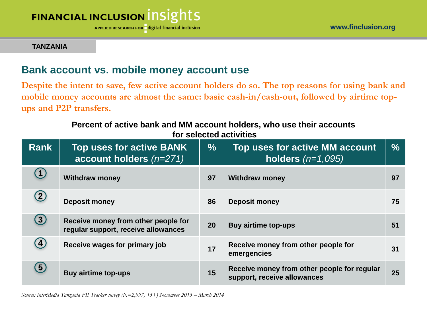APPLIED RESEARCH FOR digital financial inclusion

#### **TANZANIA**

### **Bank account vs. mobile money account use**

**Despite the intent to save, few active account holders do so. The top reasons for using bank and**  mobile money accounts are almost the same: basic cash-in/cash-out, followed by airtime top**ups and P2P transfers.**

#### **Percent of active bank and MM account holders, who use their accounts for selected activities**

| <b>Rank</b>       | <b>Top uses for active BANK</b><br>account holders $(n=271)$               | $\frac{9}{6}$ | Top uses for active MM account<br>holders $(n=1,095)$                      | $\frac{0}{0}$ |
|-------------------|----------------------------------------------------------------------------|---------------|----------------------------------------------------------------------------|---------------|
| $\left(1\right)$  | <b>Withdraw money</b>                                                      | 97            | <b>Withdraw money</b>                                                      | 97            |
| $\left( 2\right)$ | <b>Deposit money</b>                                                       | 86            | <b>Deposit money</b>                                                       | 75            |
| $\mathbf{3}$      | Receive money from other people for<br>regular support, receive allowances | 20            | <b>Buy airtime top-ups</b>                                                 | 51            |
| $\left( 4\right)$ | Receive wages for primary job                                              | 17            | Receive money from other people for<br>emergencies                         | 31            |
| $\left( 5\right)$ | <b>Buy airtime top-ups</b>                                                 | 15            | Receive money from other people for regular<br>support, receive allowances | 25            |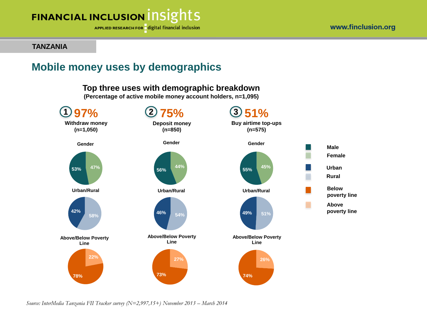

APPLIED RESEARCH FOR digital financial inclusion

#### **TANZANIA**

### **Mobile money uses by demographics**

### **Top three uses with demographic breakdown**

**(Percentage of active mobile money account holders, n=1,095)**

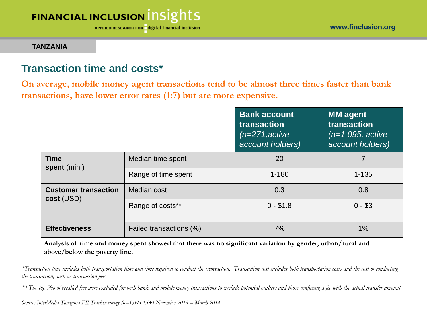**APPLIED RESEARCH FOR** digital financial inclusion

#### **TANZANIA**

### **Transaction time and costs\***

**On average, mobile money agent transactions tend to be almost three times faster than bank transactions, have lower error rates (1:7) but are more expensive.**

|                                           |                         | <b>Bank account</b><br>transaction<br>$(n=271, \text{active})$<br>account holders) | <b>MM</b> agent<br>transaction<br>$(n=1,095, \text{active})$<br>account holders) |
|-------------------------------------------|-------------------------|------------------------------------------------------------------------------------|----------------------------------------------------------------------------------|
| <b>Time</b><br>spent (min.)               | Median time spent       | 20                                                                                 |                                                                                  |
|                                           | Range of time spent     | $1 - 180$                                                                          | $1 - 135$                                                                        |
| <b>Customer transaction</b><br>cost (USD) | Median cost             | 0.3                                                                                | 0.8                                                                              |
|                                           | Range of costs**        | $0 - $1.8$                                                                         | $0 - $3$                                                                         |
| <b>Effectiveness</b>                      | Failed transactions (%) | 7%                                                                                 | $1\%$                                                                            |

**Analysis of time and money spent showed that there was no significant variation by gender, urban/rural and above/below the poverty line.**

*\*Transaction time includes both transportation time and time required to conduct the transaction. Transaction cost includes both transportation costs and the cost of conducting the transaction, such as transaction fees.*

*\*\* The top 5% of recalled fees were excluded for both bank and mobile money transactions to exclude potential outliers and those confusing a fee with the actual transfer amount.*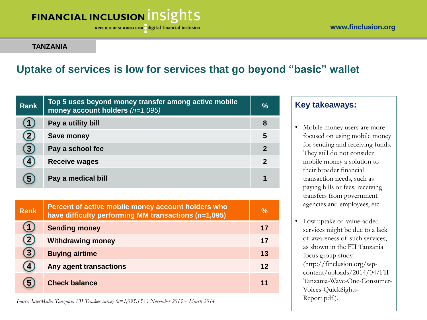APPLIED RESEARCH FOR digital financial inclusion

#### **TANZANIA**

## **Uptake of services is low for services that go beyond "basic" wallet**

| <b>Rank</b> | Top 5 uses beyond money transfer among active mobile<br>money account holders $(n=1,095)$ | $\frac{9}{6}$            |
|-------------|-------------------------------------------------------------------------------------------|--------------------------|
|             | Pay a utility bill                                                                        | 8                        |
|             | <b>Save money</b>                                                                         | 5                        |
| $\bf{3}$    | Pay a school fee                                                                          | $\overline{2}$           |
|             | Receive wages                                                                             | $\overline{\phantom{a}}$ |
| 5           | Pay a medical bill                                                                        |                          |

| <b>Rank</b>  | Percent of active mobile money account holders who<br>have difficulty performing MM transactions (n=1,095) | $\frac{0}{0}$ |
|--------------|------------------------------------------------------------------------------------------------------------|---------------|
|              | <b>Sending money</b>                                                                                       | 17            |
| $\mathbf{2}$ | <b>Withdrawing money</b>                                                                                   | 17            |
| 3            | <b>Buying airtime</b>                                                                                      | 13            |
| 4            | Any agent transactions                                                                                     | 12            |
|              | <b>Check balance</b>                                                                                       | 11            |

*Source: InterMedia Tanzania FII Tracker survey (n=1,095,15+) November 2013 – March 2014*

### **Key takeaways:**

- Mobile money users are more focused on using mobile money for sending and receiving funds. They still do not consider mobile money a solution to their broader financial transaction needs, such as paying bills or fees, receiving transfers from government agencies and employees, etc.
- Low uptake of value-added services might be due to a lack of awareness of such services, as shown in the FII Tanzania focus group study (http://finclusion.org/wpcontent/uploads/2014/04/FII-Tanzania-Wave-One-Consumer-Voices-QuickSights-Report.pdf.).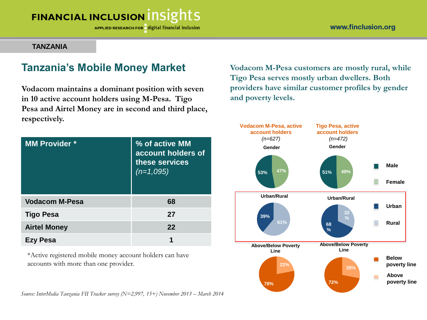APPLIED RESEARCH FOR digital financial inclusion

#### **TANZANIA**

### **Tanzania's Mobile Money Market**

**Vodacom maintains a dominant position with seven in 10 active account holders using M-Pesa. Tigo Pesa and Airtel Money are in second and third place, respectively.**

| <b>MM Provider *</b>  | % of active MM<br>account holders of<br>these services<br>$(n=1,095)$ |
|-----------------------|-----------------------------------------------------------------------|
| <b>Vodacom M-Pesa</b> | 68                                                                    |
| <b>Tigo Pesa</b>      | 27                                                                    |
| <b>Airtel Money</b>   | 22                                                                    |
| 'esa<br>EZV I         | 1                                                                     |

\*Active registered mobile money account holders can have accounts with more than one provider.

*Source: InterMedia Tanzania FII Tracker survey (N=2,997, 15+) November 2013 – March 2014*

**Vodacom M-Pesa customers are mostly rural, while Tigo Pesa serves mostly urban dwellers. Both providers have similar customer profiles by gender and poverty levels.**

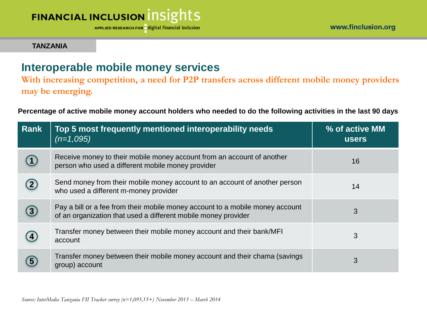

APPLIED RESEARCH FOR digital financial inclusion

#### **TANZANIA**

### **Interoperable mobile money services**

**With increasing competition, a need for P2P transfers across different mobile money providers may be emerging.**

**Percentage of active mobile money account holders who needed to do the following activities in the last 90 days** 

| <b>Rank</b> | Top 5 most frequently mentioned interoperability needs<br>$(n=1,095)$                                                                           | % of active MM<br><b>users</b> |
|-------------|-------------------------------------------------------------------------------------------------------------------------------------------------|--------------------------------|
|             | Receive money to their mobile money account from an account of another<br>person who used a different mobile money provider                     | 16                             |
|             | Send money from their mobile money account to an account of another person<br>who used a different m-money provider                             | 14                             |
| (3)         | Pay a bill or a fee from their mobile money account to a mobile money account<br>of an organization that used a different mobile money provider | 3                              |
|             | Transfer money between their mobile money account and their bank/MFI<br>account                                                                 | 3                              |
|             | Transfer money between their mobile money account and their chama (savings)<br>group) account                                                   | 3                              |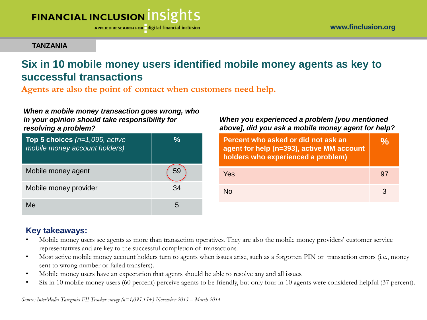APPLIED RESEARCH FOR digital financial inclusion

#### **TANZANIA**

## **Six in 10 mobile money users identified mobile money agents as key to successful transactions**

**Agents are also the point of contact when customers need help.**

#### *When a mobile money transaction goes wrong, who in your opinion should take responsibility for resolving a problem?*

| Top 5 choices $(n=1,095,$ active<br>mobile money account holders) | %  |
|-------------------------------------------------------------------|----|
| Mobile money agent                                                |    |
| Mobile money provider                                             | 34 |
| Me                                                                | h  |

### *When you experienced a problem [you mentioned above], did you ask a mobile money agent for help?*

| Percent who asked or did not ask an<br>agent for help (n=393), active MM account<br>holders who experienced a problem) |   |
|------------------------------------------------------------------------------------------------------------------------|---|
| Yes                                                                                                                    |   |
| N∩                                                                                                                     | 3 |

### **Key takeaways:**

- Mobile money users see agents as more than transaction operatives. They are also the mobile money providers' customer service representatives and are key to the successful completion of transactions.
- Most active mobile money account holders turn to agents when issues arise, such as a forgotten PIN or transaction errors (i.e., money sent to wrong number or failed transfers).
- Mobile money users have an expectation that agents should be able to resolve any and all issues.
- Six in 10 mobile money users (60 percent) perceive agents to be friendly, but only four in 10 agents were considered helpful (37 percent).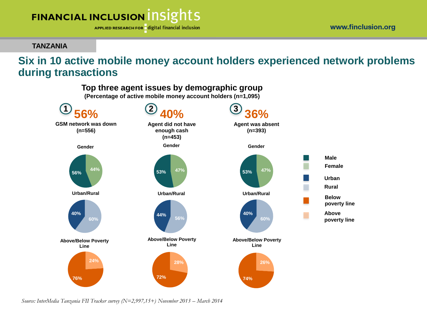APPLIED RESEARCH FOR digital financial inclusion

#### **TANZANIA**

### **Six in 10 active mobile money account holders experienced network problems during transactions**

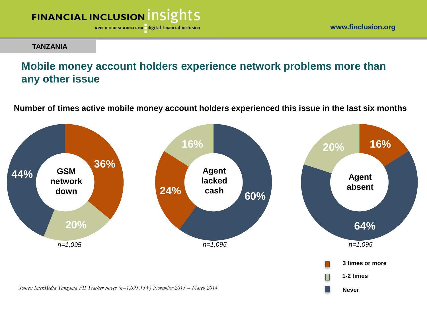

www.finclusion.org

#### **TANZANIA**

## **Mobile money account holders experience network problems more than any other issue**

**Number of times active mobile money account holders experienced this issue in the last six months**

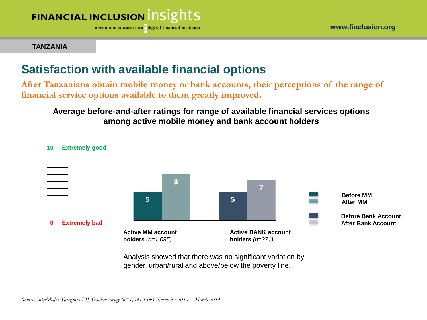

APPLIED RESEARCH FOR digital financial inclusion

#### **TANZANIA**

## **Satisfaction with available financial options**

**After Tanzanians obtain mobile money or bank accounts, their perceptions of the range of financial service options available to them greatly improved.**

**Average before-and-after ratings for range of available financial services options among active mobile money and bank account holders**



Analysis showed that there was no significant variation by gender, urban/rural and above/below the poverty line.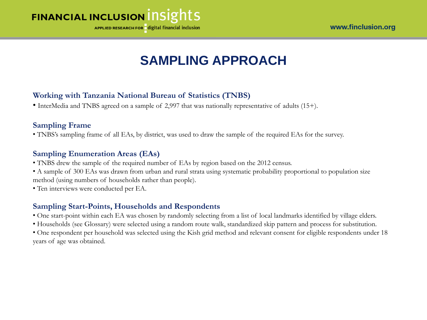

APPLIED RESEARCH FOR digital financial inclusion

## **SAMPLING APPROACH**

### **Working with Tanzania National Bureau of Statistics (TNBS)**

• InterMedia and TNBS agreed on a sample of 2,997 that was nationally representative of adults (15+).

### **Sampling Frame**

• TNBS's sampling frame of all EAs, by district, was used to draw the sample of the required EAs for the survey.

### **Sampling Enumeration Areas (EAs)**

- TNBS drew the sample of the required number of EAs by region based on the 2012 census.
- A sample of 300 EAs was drawn from urban and rural strata using systematic probability proportional to population size method (using numbers of households rather than people).
- Ten interviews were conducted per EA.

### **Sampling Start-Points, Households and Respondents**

- One start-point within each EA was chosen by randomly selecting from a list of local landmarks identified by village elders.
- Households (see Glossary) were selected using a random route walk, standardized skip pattern and process for substitution.

• One respondent per household was selected using the Kish grid method and relevant consent for eligible respondents under 18 years of age was obtained.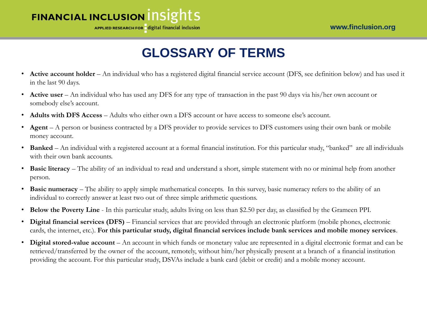

## **GLOSSARY OF TERMS**

- **Active account holder** An individual who has a registered digital financial service account (DFS, see definition below) and has used it in the last 90 days.
- **Active user** An individual who has used any DFS for any type of transaction in the past 90 days via his/her own account or somebody else's account.
- **Adults with DFS Access** Adults who either own a DFS account or have access to someone else's account.
- **Agent** A person or business contracted by a DFS provider to provide services to DFS customers using their own bank or mobile money account.
- **Banked** An individual with a registered account at a formal financial institution. For this particular study, "banked" are all individuals with their own bank accounts.
- **Basic literacy** The ability of an individual to read and understand a short, simple statement with no or minimal help from another person.
- **Basic numeracy** The ability to apply simple mathematical concepts. In this survey, basic numeracy refers to the ability of an individual to correctly answer at least two out of three simple arithmetic questions.
- **Below the Poverty Line**  In this particular study, adults living on less than \$2.50 per day, as classified by the Grameen PPI.
- **Digital financial services (DFS)** Financial services that are provided through an electronic platform (mobile phones, electronic cards, the internet, etc.). **For this particular study, digital financial services include bank services and mobile money services**.
- **Digital stored-value account**  An account in which funds or monetary value are represented in a digital electronic format and can be retrieved/transferred by the owner of the account, remotely, without him/her physically present at a branch of a financial institution providing the account. For this particular study, DSVAs include a bank card (debit or credit) and a mobile money account.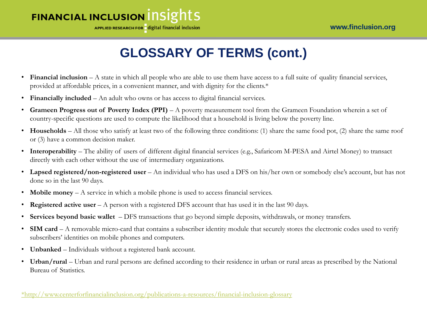

## **GLOSSARY OF TERMS (cont.)**

- **Financial inclusion** A state in which all people who are able to use them have access to a full suite of quality financial services, provided at affordable prices, in a convenient manner, and with dignity for the clients.\*
- **Financially included**  An adult who owns or has access to digital financial services.
- **Grameen Progress out of Poverty Index (PPI)**  A poverty measurement tool from the Grameen Foundation wherein a set of country-specific questions are used to compute the likelihood that a household is living below the poverty line.
- **Households** All those who satisfy at least two of the following three conditions: (1) share the same food pot, (2) share the same roof or (3) have a common decision maker.
- **Interoperability** The ability of users of different digital financial services (e.g., Safaricom M-PESA and Airtel Money) to transact directly with each other without the use of intermediary organizations.
- **Lapsed registered/non-registered user**  An individual who has used a DFS on his/her own or somebody else's account, but has not done so in the last 90 days.
- **Mobile money** A service in which a mobile phone is used to access financial services.
- **Registered active user** A person with a registered DFS account that has used it in the last 90 days.
- **Services beyond basic wallet**  DFS transactions that go beyond simple deposits, withdrawals, or money transfers.
- **SIM card** A removable micro-card that contains a subscriber identity module that securely stores the electronic codes used to verify subscribers' identities on mobile phones and computers.
- **Unbanked** Individuals without a registered bank account.
- Urban/rural Urban and rural persons are defined according to their residence in urban or rural areas as prescribed by the National Bureau of Statistics.

[\\*http://www.centerforfinancialinclusion.org/publications-a-resources/financial-inclusion-glossary](http://www.centerforfinancialinclusion.org/publications-a-resources/financial-inclusion-glossary)